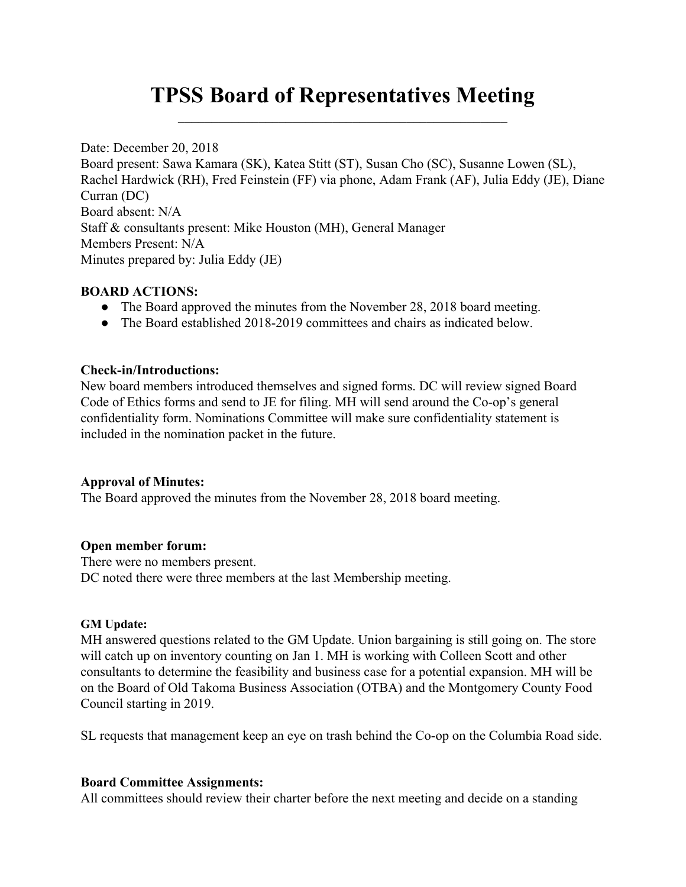# **TPSS Board of Representatives Meeting**  $\mathcal{L}_\text{max}$  and  $\mathcal{L}_\text{max}$  and  $\mathcal{L}_\text{max}$  and  $\mathcal{L}_\text{max}$  and  $\mathcal{L}_\text{max}$

Date: December 20, 2018 Board present: Sawa Kamara (SK), Katea Stitt (ST), Susan Cho (SC), Susanne Lowen (SL), Rachel Hardwick (RH), Fred Feinstein (FF) via phone, Adam Frank (AF), Julia Eddy (JE), Diane Curran (DC) Board absent: N/A Staff & consultants present: Mike Houston (MH), General Manager Members Present: N/A Minutes prepared by: Julia Eddy (JE)

## **BOARD ACTIONS:**

- The Board approved the minutes from the November 28, 2018 board meeting.
- The Board established 2018-2019 committees and chairs as indicated below.

## **Check-in/Introductions:**

New board members introduced themselves and signed forms. DC will review signed Board Code of Ethics forms and send to JE for filing. MH will send around the Co-op's general confidentiality form. Nominations Committee will make sure confidentiality statement is included in the nomination packet in the future.

## **Approval of Minutes:**

The Board approved the minutes from the November 28, 2018 board meeting.

## **Open member forum:**

There were no members present. DC noted there were three members at the last Membership meeting.

#### **GM Update:**

MH answered questions related to the GM Update. Union bargaining is still going on. The store will catch up on inventory counting on Jan 1. MH is working with Colleen Scott and other consultants to determine the feasibility and business case for a potential expansion. MH will be on the Board of Old Takoma Business Association (OTBA) and the Montgomery County Food Council starting in 2019.

SL requests that management keep an eye on trash behind the Co-op on the Columbia Road side.

## **Board Committee Assignments:**

All committees should review their charter before the next meeting and decide on a standing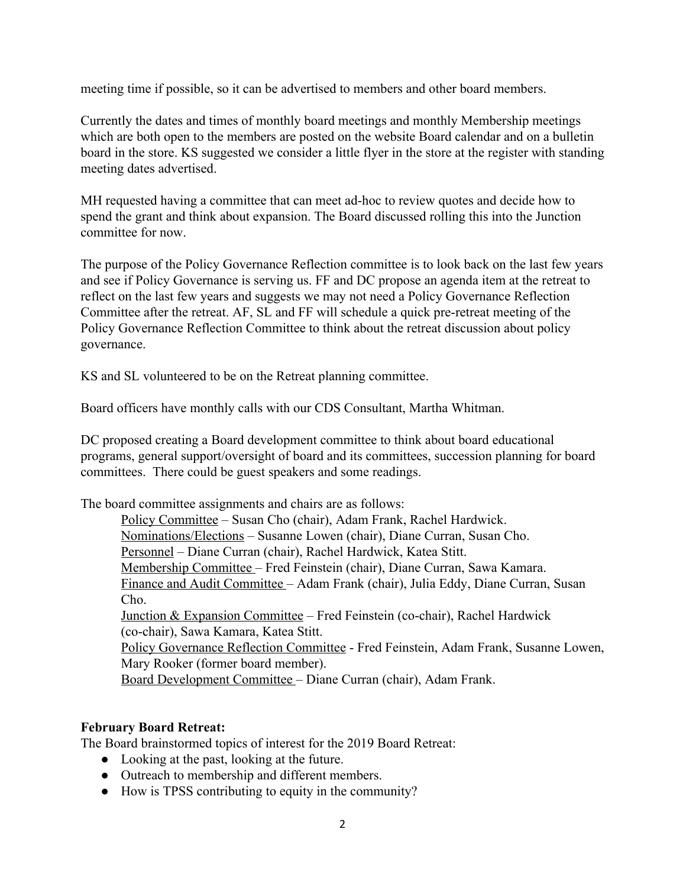meeting time if possible, so it can be advertised to members and other board members.

Currently the dates and times of monthly board meetings and monthly Membership meetings which are both open to the members are posted on the website Board calendar and on a bulletin board in the store. KS suggested we consider a little flyer in the store at the register with standing meeting dates advertised.

MH requested having a committee that can meet ad-hoc to review quotes and decide how to spend the grant and think about expansion. The Board discussed rolling this into the Junction committee for now.

The purpose of the Policy Governance Reflection committee is to look back on the last few years and see if Policy Governance is serving us. FF and DC propose an agenda item at the retreat to reflect on the last few years and suggests we may not need a Policy Governance Reflection Committee after the retreat. AF, SL and FF will schedule a quick pre-retreat meeting of the Policy Governance Reflection Committee to think about the retreat discussion about policy governance.

KS and SL volunteered to be on the Retreat planning committee.

Board officers have monthly calls with our CDS Consultant, Martha Whitman.

DC proposed creating a Board development committee to think about board educational programs, general support/oversight of board and its committees, succession planning for board committees. There could be guest speakers and some readings.

The board committee assignments and chairs are as follows:

Policy Committee – Susan Cho (chair), Adam Frank, Rachel Hardwick. Nominations/Elections – Susanne Lowen (chair), Diane Curran, Susan Cho. Personnel – Diane Curran (chair), Rachel Hardwick, Katea Stitt. Membership Committee – Fred Feinstein (chair), Diane Curran, Sawa Kamara. Finance and Audit Committee – Adam Frank (chair), Julia Eddy, Diane Curran, Susan Ch<sub>o</sub> Junction & Expansion Committee – Fred Feinstein (co-chair), Rachel Hardwick (co-chair), Sawa Kamara, Katea Stitt. Policy Governance Reflection Committee - Fred Feinstein, Adam Frank, Susanne Lowen, Mary Rooker (former board member). Board Development Committee – Diane Curran (chair), Adam Frank.

## **February Board Retreat:**

The Board brainstormed topics of interest for the 2019 Board Retreat:

- Looking at the past, looking at the future.
- Outreach to membership and different members.
- How is TPSS contributing to equity in the community?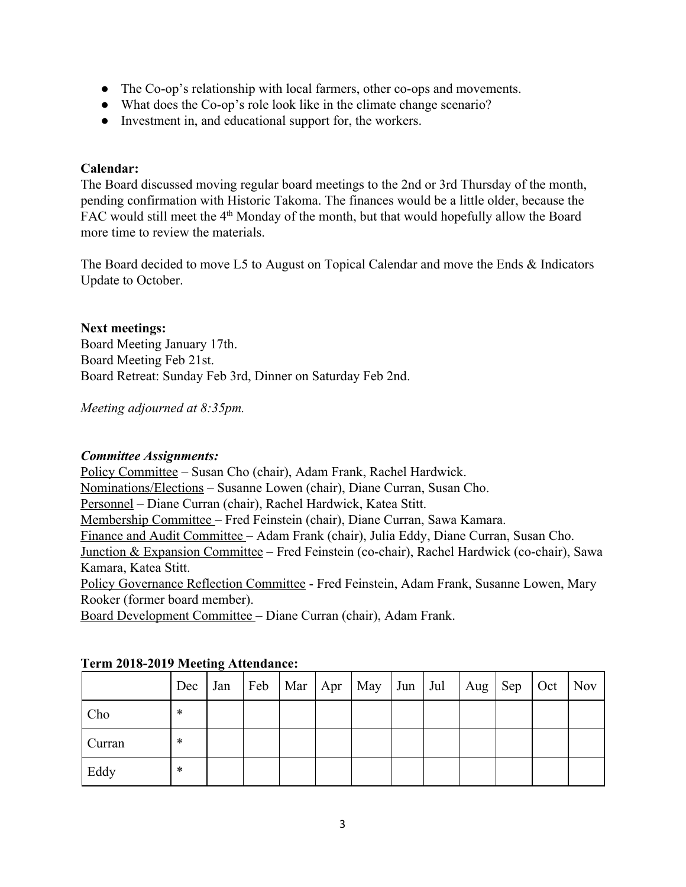- The Co-op's relationship with local farmers, other co-ops and movements.
- What does the Co-op's role look like in the climate change scenario?
- Investment in, and educational support for, the workers.

## **Calendar:**

The Board discussed moving regular board meetings to the 2nd or 3rd Thursday of the month, pending confirmation with Historic Takoma. The finances would be a little older, because the FAC would still meet the 4<sup>th</sup> Monday of the month, but that would hopefully allow the Board more time to review the materials.

The Board decided to move L5 to August on Topical Calendar and move the Ends & Indicators Update to October.

## **Next meetings:**

Board Meeting January 17th. Board Meeting Feb 21st. Board Retreat: Sunday Feb 3rd, Dinner on Saturday Feb 2nd.

*Meeting adjourned at 8:35pm.*

## *Committee Assignments:*

Policy Committee – Susan Cho (chair), Adam Frank, Rachel Hardwick. Nominations/Elections – Susanne Lowen (chair), Diane Curran, Susan Cho. Personnel – Diane Curran (chair), Rachel Hardwick, Katea Stitt. Membership Committee – Fred Feinstein (chair), Diane Curran, Sawa Kamara. Finance and Audit Committee – Adam Frank (chair), Julia Eddy, Diane Curran, Susan Cho. Junction & Expansion Committee – Fred Feinstein (co-chair), Rachel Hardwick (co-chair), Sawa Kamara, Katea Stitt. Policy Governance Reflection Committee - Fred Feinstein, Adam Frank, Susanne Lowen, Mary Rooker (former board member).

Board Development Committee – Diane Curran (chair), Adam Frank.

|        | Dec | Jan |  | Feb   Mar   Apr   May | $Jun$ $Jul$ | $\vert$ Aug $\vert$ Sep | Oct | <b>Nov</b> |
|--------|-----|-----|--|-----------------------|-------------|-------------------------|-----|------------|
| Cho    | *   |     |  |                       |             |                         |     |            |
| Curran | *   |     |  |                       |             |                         |     |            |
| Eddy   | *   |     |  |                       |             |                         |     |            |

## **Term 2018-2019 Meeting Attendance:**